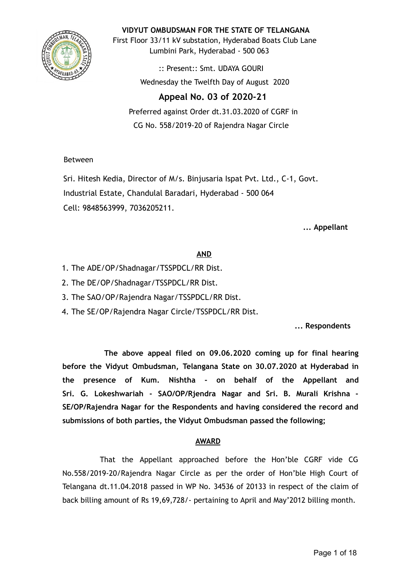

**VIDYUT OMBUDSMAN FOR THE STATE OF TELANGANA**

First Floor 33/11 kV substation, Hyderabad Boats Club Lane Lumbini Park, Hyderabad - 500 063

> :: Present:: Smt. UDAYA GOURI Wednesday the Twelfth Day of August 2020

## **Appeal No. 03 of 2020-21**

Preferred against Order dt.31.03.2020 of CGRF in CG No. 558/2019-20 of Rajendra Nagar Circle

## Between

Sri. Hitesh Kedia, Director of M/s. Binjusaria Ispat Pvt. Ltd., C-1, Govt. Industrial Estate, Chandulal Baradari, Hyderabad - 500 064 Cell: 9848563999, 7036205211.

**... Appellant**

## **AND**

- 1. The ADE/OP/Shadnagar/TSSPDCL/RR Dist.
- 2. The DE/OP/Shadnagar/TSSPDCL/RR Dist.
- 3. The SAO/OP/Rajendra Nagar/TSSPDCL/RR Dist.
- 4. The SE/OP/Rajendra Nagar Circle/TSSPDCL/RR Dist.

**... Respondents**

**The above appeal filed on 09.06.2020 coming up for final hearing before the Vidyut Ombudsman, Telangana State on 30.07.2020 at Hyderabad in the presence of Kum. Nishtha - on behalf of the Appellant and Sri. G. Lokeshwariah - SAO/OP/Rjendra Nagar and Sri. B. Murali Krishna - SE/OP/Rajendra Nagar for the Respondents and having considered the record and submissions of both parties, the Vidyut Ombudsman passed the following;**

## **AWARD**

That the Appellant approached before the Hon'ble CGRF vide CG No.558/2019-20/Rajendra Nagar Circle as per the order of Hon'ble High Court of Telangana dt.11.04.2018 passed in WP No. 34536 of 20133 in respect of the claim of back billing amount of Rs 19,69,728/- pertaining to April and May'2012 billing month.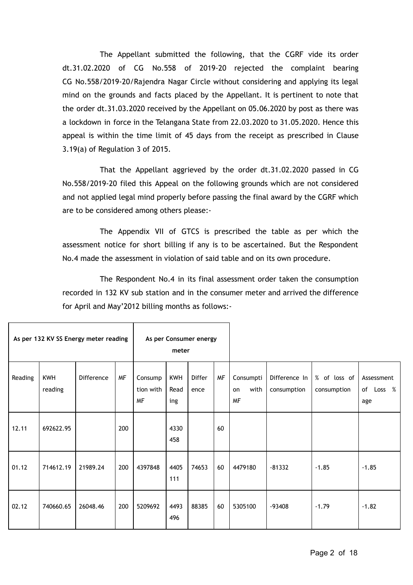The Appellant submitted the following, that the CGRF vide its order dt.31.02.2020 of CG No.558 of 2019-20 rejected the complaint bearing CG No.558/2019-20/Rajendra Nagar Circle without considering and applying its legal mind on the grounds and facts placed by the Appellant. It is pertinent to note that the order dt.31.03.2020 received by the Appellant on 05.06.2020 by post as there was a lockdown in force in the Telangana State from 22.03.2020 to 31.05.2020. Hence this appeal is within the time limit of 45 days from the receipt as prescribed in Clause 3.19(a) of Regulation 3 of 2015.

That the Appellant aggrieved by the order dt.31.02.2020 passed in CG No.558/2019-20 filed this Appeal on the following grounds which are not considered and not applied legal mind properly before passing the final award by the CGRF which are to be considered among others please:-

The Appendix VII of GTCS is prescribed the table as per which the assessment notice for short billing if any is to be ascertained. But the Respondent No.4 made the assessment in violation of said table and on its own procedure.

The Respondent No.4 in its final assessment order taken the consumption recorded in 132 KV sub station and in the consumer meter and arrived the difference for April and May'2012 billing months as follows:-

T

٦

|         |                       | As per 132 KV SS Energy meter reading |           | As per Consumer energy<br>meter   |                           |                       |           |                                      |                              |                             |                                |
|---------|-----------------------|---------------------------------------|-----------|-----------------------------------|---------------------------|-----------------------|-----------|--------------------------------------|------------------------------|-----------------------------|--------------------------------|
| Reading | <b>KWH</b><br>reading | <b>Difference</b>                     | <b>MF</b> | Consump<br>tion with<br><b>MF</b> | <b>KWH</b><br>Read<br>ing | <b>Differ</b><br>ence | <b>MF</b> | Consumpti<br>with<br>on<br><b>MF</b> | Difference In<br>consumption | % of loss of<br>consumption | Assessment<br>of Loss %<br>age |
| 12.11   | 692622.95             |                                       | 200       |                                   | 4330<br>458               |                       | 60        |                                      |                              |                             |                                |
| 01.12   | 714612.19             | 21989.24                              | 200       | 4397848                           | 4405<br>111               | 74653                 | 60        | 4479180                              | $-81332$                     | $-1.85$                     | $-1.85$                        |
| 02.12   | 740660.65             | 26048.46                              | 200       | 5209692                           | 4493<br>496               | 88385                 | 60        | 5305100                              | $-93408$                     | $-1.79$                     | $-1.82$                        |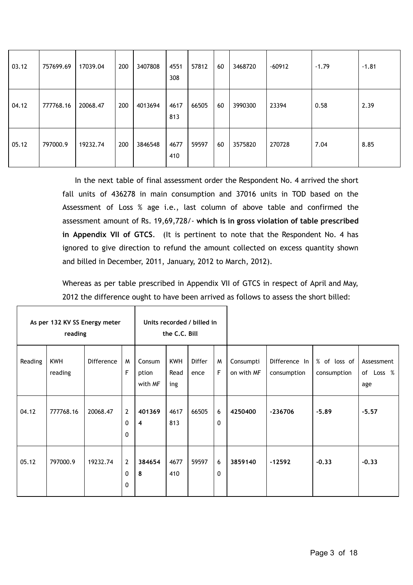| 03.12 | 757699.69 | 17039.04 | 200 | 3407808 | 4551<br>308 | 57812 | 60 | 3468720 | $-60912$ | $-1.79$ | $-1.81$ |
|-------|-----------|----------|-----|---------|-------------|-------|----|---------|----------|---------|---------|
| 04.12 | 777768.16 | 20068.47 | 200 | 4013694 | 4617<br>813 | 66505 | 60 | 3990300 | 23394    | 0.58    | 2.39    |
| 05.12 | 797000.9  | 19232.74 | 200 | 3846548 | 4677<br>410 | 59597 | 60 | 3575820 | 270728   | 7.04    | 8.85    |

In the next table of final assessment order the Respondent No. 4 arrived the short fall units of 436278 in main consumption and 37016 units in TOD based on the Assessment of Loss % age i.e., last column of above table and confirmed the assessment amount of Rs. 19,69,728/- **which is in gross violation of table prescribed in Appendix VII of GTCS**. (It is pertinent to note that the Respondent No. 4 has ignored to give direction to refund the amount collected on excess quantity shown and billed in December, 2011, January, 2012 to March, 2012).

Whereas as per table prescribed in Appendix VII of GTCS in respect of April and May, 2012 the difference ought to have been arrived as follows to assess the short billed:

Τ

Г

٦

|         | As per 132 KV SS Energy meter<br>reading |                   |                                     | Units recorded / billed in<br>the C.C. Bill |                           |                       |                   |                         |                              |                             |                                |
|---------|------------------------------------------|-------------------|-------------------------------------|---------------------------------------------|---------------------------|-----------------------|-------------------|-------------------------|------------------------------|-----------------------------|--------------------------------|
| Reading | KWH<br>reading                           | <b>Difference</b> | M<br>F                              | Consum<br>ption<br>with MF                  | <b>KWH</b><br>Read<br>ing | <b>Differ</b><br>ence | M<br>F            | Consumpti<br>on with MF | Difference In<br>consumption | % of loss of<br>consumption | Assessment<br>of Loss %<br>age |
| 04.12   | 777768.16                                | 20068.47          | $\overline{2}$<br>0<br>$\mathbf{0}$ | 401369<br>$\overline{4}$                    | 4617<br>813               | 66505                 | 6<br>$\mathbf{0}$ | 4250400                 | $-236706$                    | $-5.89$                     | $-5.57$                        |
| 05.12   | 797000.9                                 | 19232.74          | $\overline{2}$<br>0<br>$\mathbf{0}$ | 384654<br>8                                 | 4677<br>410               | 59597                 | 6<br>0            | 3859140                 | $-12592$                     | $-0.33$                     | $-0.33$                        |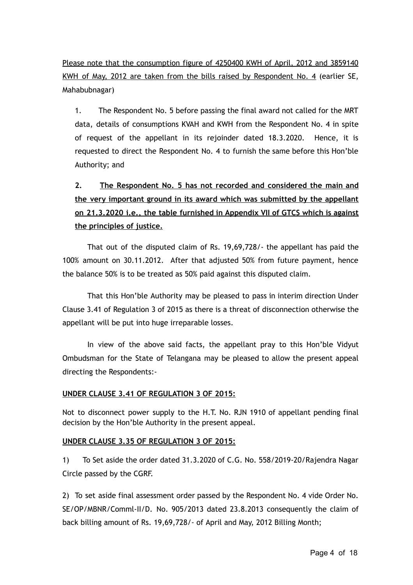Please note that the consumption figure of 4250400 KWH of April, 2012 and 3859140 KWH of May, 2012 are taken from the bills raised by Respondent No. 4 (earlier SE, Mahabubnagar)

1. The Respondent No. 5 before passing the final award not called for the MRT data, details of consumptions KVAH and KWH from the Respondent No. 4 in spite of request of the appellant in its rejoinder dated 18.3.2020. Hence, it is requested to direct the Respondent No. 4 to furnish the same before this Hon'ble Authority; and

# **2. The Respondent No. 5 has not recorded and considered the main and the very important ground in its award which was submitted by the appellant on 21.3.2020 i.e., the table furnished in Appendix VII of GTCS which is against the principles of justice.**

That out of the disputed claim of Rs. 19,69,728/- the appellant has paid the 100% amount on 30.11.2012. After that adjusted 50% from future payment, hence the balance 50% is to be treated as 50% paid against this disputed claim.

That this Hon'ble Authority may be pleased to pass in interim direction Under Clause 3.41 of Regulation 3 of 2015 as there is a threat of disconnection otherwise the appellant will be put into huge irreparable losses.

In view of the above said facts, the appellant pray to this Hon'ble Vidyut Ombudsman for the State of Telangana may be pleased to allow the present appeal directing the Respondents:-

#### **UNDER CLAUSE 3.41 OF REGULATION 3 OF 2015:**

Not to disconnect power supply to the H.T. No. RJN 1910 of appellant pending final decision by the Hon'ble Authority in the present appeal.

#### **UNDER CLAUSE 3.35 OF REGULATION 3 OF 2015:**

1) To Set aside the order dated 31.3.2020 of C.G. No. 558/2019-20/Rajendra Nagar Circle passed by the CGRF.

2) To set aside final assessment order passed by the Respondent No. 4 vide Order No. SE/OP/MBNR/Comml-II/D. No. 905/2013 dated 23.8.2013 consequently the claim of back billing amount of Rs. 19,69,728/- of April and May, 2012 Billing Month;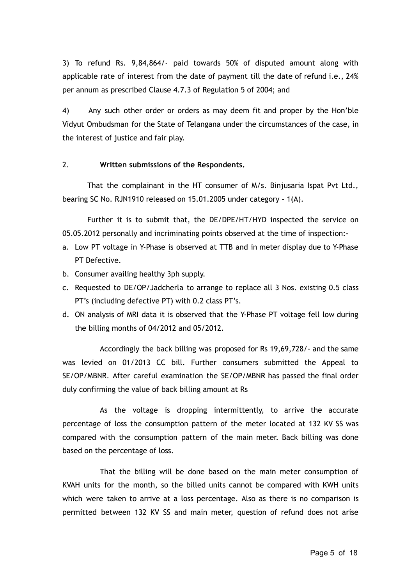3) To refund Rs. 9,84,864/- paid towards 50% of disputed amount along with applicable rate of interest from the date of payment till the date of refund i.e., 24% per annum as prescribed Clause 4.7.3 of Regulation 5 of 2004; and

4) Any such other order or orders as may deem fit and proper by the Hon'ble Vidyut Ombudsman for the State of Telangana under the circumstances of the case, in the interest of justice and fair play.

#### 2. **Written submissions of the Respondents.**

That the complainant in the HT consumer of M/s. Binjusaria Ispat Pvt Ltd., bearing SC No. RJN1910 released on 15.01.2005 under category - 1(A).

Further it is to submit that, the DE/DPE/HT/HYD inspected the service on 05.05.2012 personally and incriminating points observed at the time of inspection:-

- a. Low PT voltage in Y-Phase is observed at TTB and in meter display due to Y-Phase PT Defective.
- b. Consumer availing healthy 3ph supply.
- c. Requested to DE/OP/Jadcherla to arrange to replace all 3 Nos. existing 0.5 class PT's (including defective PT) with 0.2 class PT's.
- d. ON analysis of MRI data it is observed that the Y-Phase PT voltage fell low during the billing months of 04/2012 and 05/2012.

Accordingly the back billing was proposed for Rs 19,69,728/- and the same was levied on 01/2013 CC bill. Further consumers submitted the Appeal to SE/OP/MBNR. After careful examination the SE/OP/MBNR has passed the final order duly confirming the value of back billing amount at Rs

As the voltage is dropping intermittently, to arrive the accurate percentage of loss the consumption pattern of the meter located at 132 KV SS was compared with the consumption pattern of the main meter. Back billing was done based on the percentage of loss.

That the billing will be done based on the main meter consumption of KVAH units for the month, so the billed units cannot be compared with KWH units which were taken to arrive at a loss percentage. Also as there is no comparison is permitted between 132 KV SS and main meter, question of refund does not arise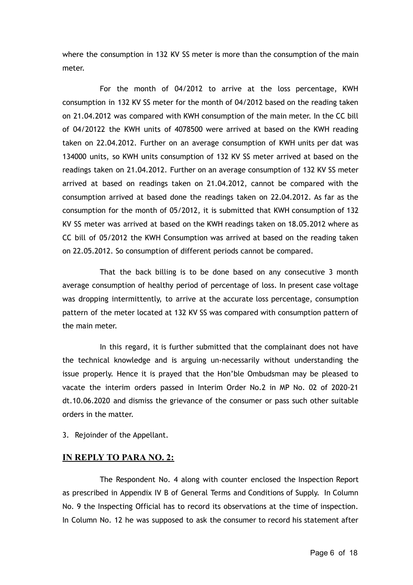where the consumption in 132 KV SS meter is more than the consumption of the main meter.

For the month of 04/2012 to arrive at the loss percentage, KWH consumption in 132 KV SS meter for the month of 04/2012 based on the reading taken on 21.04.2012 was compared with KWH consumption of the main meter. In the CC bill of 04/20122 the KWH units of 4078500 were arrived at based on the KWH reading taken on 22.04.2012. Further on an average consumption of KWH units per dat was 134000 units, so KWH units consumption of 132 KV SS meter arrived at based on the readings taken on 21.04.2012. Further on an average consumption of 132 KV SS meter arrived at based on readings taken on 21.04.2012, cannot be compared with the consumption arrived at based done the readings taken on 22.04.2012. As far as the consumption for the month of 05/2012, it is submitted that KWH consumption of 132 KV SS meter was arrived at based on the KWH readings taken on 18.05.2012 where as CC bill of 05/2012 the KWH Consumption was arrived at based on the reading taken on 22.05.2012. So consumption of different periods cannot be compared.

That the back billing is to be done based on any consecutive 3 month average consumption of healthy period of percentage of loss. In present case voltage was dropping intermittently, to arrive at the accurate loss percentage, consumption pattern of the meter located at 132 KV SS was compared with consumption pattern of the main meter.

In this regard, it is further submitted that the complainant does not have the technical knowledge and is arguing un-necessarily without understanding the issue properly. Hence it is prayed that the Hon'ble Ombudsman may be pleased to vacate the interim orders passed in Interim Order No.2 in MP No. 02 of 2020-21 dt.10.06.2020 and dismiss the grievance of the consumer or pass such other suitable orders in the matter.

3. Rejoinder of the Appellant.

#### **IN REPLY TO PARA NO. 2:**

The Respondent No. 4 along with counter enclosed the Inspection Report as prescribed in Appendix IV B of General Terms and Conditions of Supply. In Column No. 9 the Inspecting Official has to record its observations at the time of inspection. In Column No. 12 he was supposed to ask the consumer to record his statement after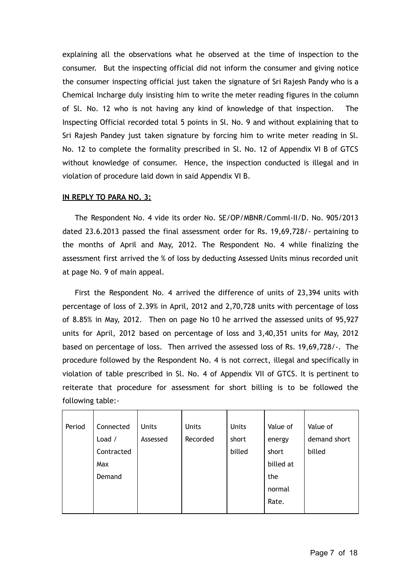explaining all the observations what he observed at the time of inspection to the consumer. But the inspecting official did not inform the consumer and giving notice the consumer inspecting official just taken the signature of Sri Rajesh Pandy who is a Chemical Incharge duly insisting him to write the meter reading figures in the column of Sl. No. 12 who is not having any kind of knowledge of that inspection. The Inspecting Official recorded total 5 points in Sl. No. 9 and without explaining that to Sri Rajesh Pandey just taken signature by forcing him to write meter reading in Sl. No. 12 to complete the formality prescribed in Sl. No. 12 of Appendix VI B of GTCS without knowledge of consumer. Hence, the inspection conducted is illegal and in violation of procedure laid down in said Appendix VI B.

#### **IN REPLY TO PARA NO. 3:**

The Respondent No. 4 vide its order No. SE/OP/MBNR/Comml-II/D. No. 905/2013 dated 23.6.2013 passed the final assessment order for Rs. 19,69,728/- pertaining to the months of April and May, 2012. The Respondent No. 4 while finalizing the assessment first arrived the % of loss by deducting Assessed Units minus recorded unit at page No. 9 of main appeal.

First the Respondent No. 4 arrived the difference of units of 23,394 units with percentage of loss of 2.39% in April, 2012 and 2,70,728 units with percentage of loss of 8.85% in May, 2012. Then on page No 10 he arrived the assessed units of 95,927 units for April, 2012 based on percentage of loss and 3,40,351 units for May, 2012 based on percentage of loss. Then arrived the assessed loss of Rs. 19,69,728/-. The procedure followed by the Respondent No. 4 is not correct, illegal and specifically in violation of table prescribed in Sl. No. 4 of Appendix VII of GTCS. It is pertinent to reiterate that procedure for assessment for short billing is to be followed the following table:-

| Period | Connected  | <b>Units</b> | <b>Units</b> | <b>Units</b> | Value of  | Value of     |
|--------|------------|--------------|--------------|--------------|-----------|--------------|
|        | Load /     | Assessed     | Recorded     | short        | energy    | demand short |
|        | Contracted |              |              | billed       | short     | billed       |
|        | Max        |              |              |              | billed at |              |
|        | Demand     |              |              |              | the       |              |
|        |            |              |              |              | normal    |              |
|        |            |              |              |              | Rate.     |              |
|        |            |              |              |              |           |              |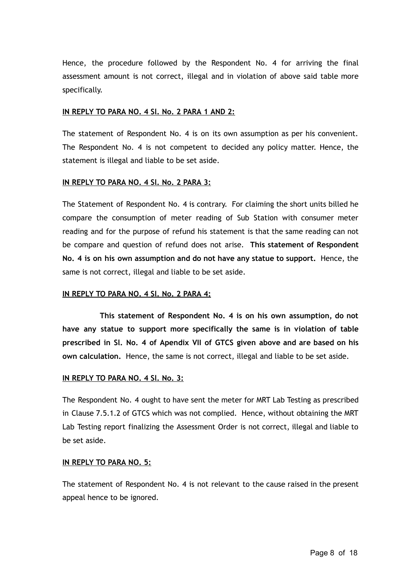Hence, the procedure followed by the Respondent No. 4 for arriving the final assessment amount is not correct, illegal and in violation of above said table more specifically.

#### **IN REPLY TO PARA NO. 4 Sl. No. 2 PARA 1 AND 2:**

The statement of Respondent No. 4 is on its own assumption as per his convenient. The Respondent No. 4 is not competent to decided any policy matter. Hence, the statement is illegal and liable to be set aside.

#### **IN REPLY TO PARA NO. 4 Sl. No. 2 PARA 3:**

The Statement of Respondent No. 4 is contrary. For claiming the short units billed he compare the consumption of meter reading of Sub Station with consumer meter reading and for the purpose of refund his statement is that the same reading can not be compare and question of refund does not arise. **This statement of Respondent No. 4 is on his own assumption and do not have any statue to support.** Hence, the same is not correct, illegal and liable to be set aside.

#### **IN REPLY TO PARA NO. 4 Sl. No. 2 PARA 4:**

**This statement of Respondent No. 4 is on his own assumption, do not have any statue to support more specifically the same is in violation of table prescribed in Sl. No. 4 of Apendix VII of GTCS given above and are based on his own calculation.** Hence, the same is not correct, illegal and liable to be set aside.

#### **IN REPLY TO PARA NO. 4 Sl. No. 3:**

The Respondent No. 4 ought to have sent the meter for MRT Lab Testing as prescribed in Clause 7.5.1.2 of GTCS which was not complied. Hence, without obtaining the MRT Lab Testing report finalizing the Assessment Order is not correct, illegal and liable to be set aside.

#### **IN REPLY TO PARA NO. 5:**

The statement of Respondent No. 4 is not relevant to the cause raised in the present appeal hence to be ignored.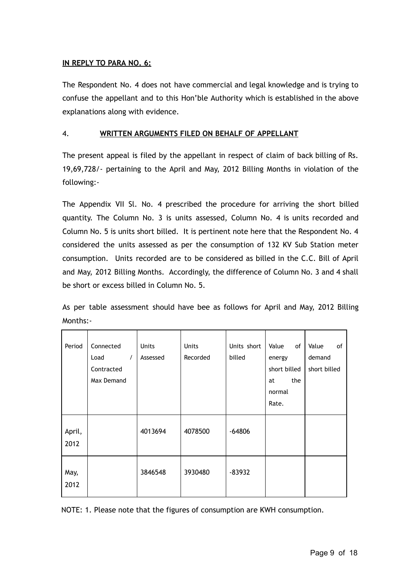#### **IN REPLY TO PARA NO. 6:**

The Respondent No. 4 does not have commercial and legal knowledge and is trying to confuse the appellant and to this Hon'ble Authority which is established in the above explanations along with evidence.

#### 4. **WRITTEN ARGUMENTS FILED ON BEHALF OF APPELLANT**

The present appeal is filed by the appellant in respect of claim of back billing of Rs. 19,69,728/- pertaining to the April and May, 2012 Billing Months in violation of the following:-

The Appendix VII Sl. No. 4 prescribed the procedure for arriving the short billed quantity. The Column No. 3 is units assessed, Column No. 4 is units recorded and Column No. 5 is units short billed. It is pertinent note here that the Respondent No. 4 considered the units assessed as per the consumption of 132 KV Sub Station meter consumption. Units recorded are to be considered as billed in the C.C. Bill of April and May, 2012 Billing Months. Accordingly, the difference of Column No. 3 and 4 shall be short or excess billed in Column No. 5.

As per table assessment should have bee as follows for April and May, 2012 Billing Months:-

| Period       | Connected        | Units    | Units    | Units short | Value<br>of  | Value<br>of  |
|--------------|------------------|----------|----------|-------------|--------------|--------------|
|              | $\prime$<br>Load | Assessed | Recorded | billed      | energy       | demand       |
|              | Contracted       |          |          |             | short billed | short billed |
|              | Max Demand       |          |          |             | the<br>at    |              |
|              |                  |          |          |             | normal       |              |
|              |                  |          |          |             | Rate.        |              |
|              |                  |          |          |             |              |              |
| April,       |                  | 4013694  | 4078500  | $-64806$    |              |              |
| 2012         |                  |          |          |             |              |              |
|              |                  |          |          |             |              |              |
| May,<br>2012 |                  | 3846548  | 3930480  | $-83932$    |              |              |
|              |                  |          |          |             |              |              |

NOTE: 1. Please note that the figures of consumption are KWH consumption.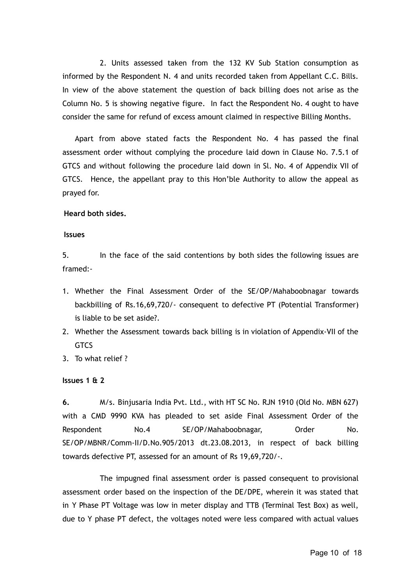2. Units assessed taken from the 132 KV Sub Station consumption as informed by the Respondent N. 4 and units recorded taken from Appellant C.C. Bills. In view of the above statement the question of back billing does not arise as the Column No. 5 is showing negative figure. In fact the Respondent No. 4 ought to have consider the same for refund of excess amount claimed in respective Billing Months.

Apart from above stated facts the Respondent No. 4 has passed the final assessment order without complying the procedure laid down in Clause No. 7.5.1 of GTCS and without following the procedure laid down in Sl. No. 4 of Appendix VII of GTCS. Hence, the appellant pray to this Hon'ble Authority to allow the appeal as prayed for.

#### **Heard both sides.**

#### **Issues**

5. In the face of the said contentions by both sides the following issues are framed:-

- 1. Whether the Final Assessment Order of the SE/OP/Mahaboobnagar towards backbilling of Rs.16,69,720/- consequent to defective PT (Potential Transformer) is liable to be set aside?.
- 2. Whether the Assessment towards back billing is in violation of Appendix-VII of the **GTCS**
- 3. To what relief ?

#### **Issues 1 & 2**

**6.** M/s. Binjusaria India Pvt. Ltd., with HT SC No. RJN 1910 (Old No. MBN 627) with a CMD 9990 KVA has pleaded to set aside Final Assessment Order of the Respondent No.4 SE/OP/Mahaboobnagar, Order No. SE/OP/MBNR/Comm-II/D.No.905/2013 dt.23.08.2013, in respect of back billing towards defective PT, assessed for an amount of Rs 19,69,720/-.

The impugned final assessment order is passed consequent to provisional assessment order based on the inspection of the DE/DPE, wherein it was stated that in Y Phase PT Voltage was low in meter display and TTB (Terminal Test Box) as well, due to Y phase PT defect, the voltages noted were less compared with actual values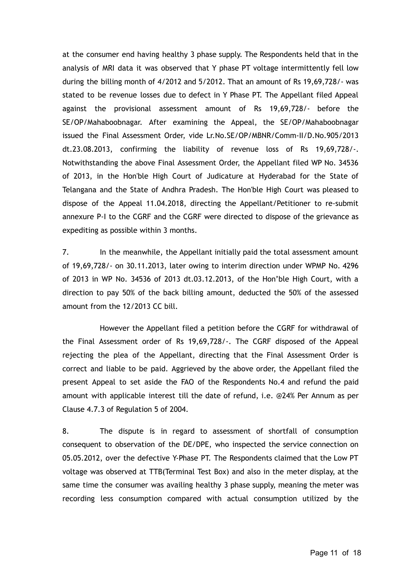at the consumer end having healthy 3 phase supply. The Respondents held that in the analysis of MRI data it was observed that Y phase PT voltage intermittently fell low during the billing month of 4/2012 and 5/2012. That an amount of Rs 19,69,728/- was stated to be revenue losses due to defect in Y Phase PT. The Appellant filed Appeal against the provisional assessment amount of Rs 19,69,728/- before the SE/OP/Mahaboobnagar. After examining the Appeal, the SE/OP/Mahaboobnagar issued the Final Assessment Order, vide Lr.No.SE/OP/MBNR/Comm-II/D.No.905/2013 dt.23.08.2013, confirming the liability of revenue loss of Rs 19,69,728/-. Notwithstanding the above Final Assessment Order, the Appellant filed WP No. 34536 of 2013, in the Hon'ble High Court of Judicature at Hyderabad for the State of Telangana and the State of Andhra Pradesh. The Hon'ble High Court was pleased to dispose of the Appeal 11.04.2018, directing the Appellant/Petitioner to re-submit annexure P-I to the CGRF and the CGRF were directed to dispose of the grievance as expediting as possible within 3 months.

7. In the meanwhile, the Appellant initially paid the total assessment amount of 19,69,728/- on 30.11.2013, later owing to interim direction under WPMP No. 4296 of 2013 in WP No. 34536 of 2013 dt.03.12.2013, of the Hon'ble High Court, with a direction to pay 50% of the back billing amount, deducted the 50% of the assessed amount from the 12/2013 CC bill.

However the Appellant filed a petition before the CGRF for withdrawal of the Final Assessment order of Rs 19,69,728/-. The CGRF disposed of the Appeal rejecting the plea of the Appellant, directing that the Final Assessment Order is correct and liable to be paid. Aggrieved by the above order, the Appellant filed the present Appeal to set aside the FAO of the Respondents No.4 and refund the paid amount with applicable interest till the date of refund, i.e. @24% Per Annum as per Clause 4.7.3 of Regulation 5 of 2004.

8. The dispute is in regard to assessment of shortfall of consumption consequent to observation of the DE/DPE, who inspected the service connection on 05.05.2012, over the defective Y-Phase PT. The Respondents claimed that the Low PT voltage was observed at TTB(Terminal Test Box) and also in the meter display, at the same time the consumer was availing healthy 3 phase supply, meaning the meter was recording less consumption compared with actual consumption utilized by the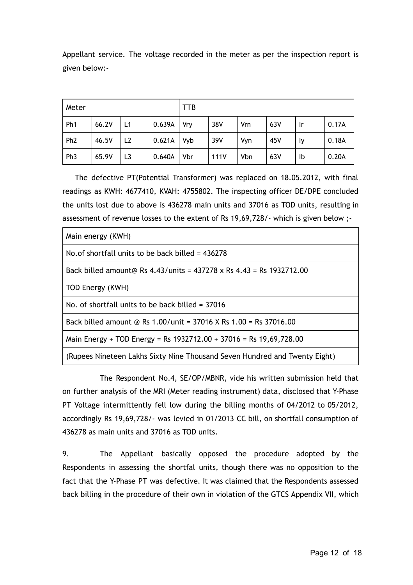Appellant service. The voltage recorded in the meter as per the inspection report is given below:-

| Meter           |       |                |        | TTB |      |            |     |           |       |  |  |
|-----------------|-------|----------------|--------|-----|------|------------|-----|-----------|-------|--|--|
| Ph <sub>1</sub> | 66.2V | L1             | 0.639A | Vry | 38V  | Vrn        | 63V | <u>Ir</u> | 0.17A |  |  |
| Ph <sub>2</sub> | 46.5V | L <sub>2</sub> | 0.621A | Vyb | 39V  | Vyn        | 45V | Ιy        | 0.18A |  |  |
| Ph <sub>3</sub> | 65.9V | L <sub>3</sub> | 0.640A | Vbr | 111V | <b>Vbn</b> | 63V | Ib        | 0.20A |  |  |

The defective PT(Potential Transformer) was replaced on 18.05.2012, with final readings as KWH: 4677410, KVAH: 4755802. The inspecting officer DE/DPE concluded the units lost due to above is 436278 main units and 37016 as TOD units, resulting in assessment of revenue losses to the extent of Rs 19,69,728/- which is given below ;-

| Main energy (KWH)                                                                |
|----------------------------------------------------------------------------------|
| No of shortfall units to be back billed $= 436278$                               |
| Back billed amount@ Rs $4.43$ /units = $437278 \times$ Rs $4.43$ = Rs 1932712.00 |
| TOD Energy (KWH)                                                                 |
| No. of shortfall units to be back billed $=$ 37016                               |
| Back billed amount @ Rs 1.00/unit = 37016 X Rs 1.00 = Rs 37016.00                |
| Main Energy + TOD Energy = Rs 1932712.00 + 37016 = Rs 19,69,728.00               |
| (Rupees Nineteen Lakhs Sixty Nine Thousand Seven Hundred and Twenty Eight)       |

The Respondent No.4, SE/OP/MBNR, vide his written submission held that on further analysis of the MRI (Meter reading instrument) data, disclosed that Y-Phase PT Voltage intermittently fell low during the billing months of 04/2012 to 05/2012, accordingly Rs 19,69,728/- was levied in 01/2013 CC bill, on shortfall consumption of 436278 as main units and 37016 as TOD units.

9. The Appellant basically opposed the procedure adopted by the Respondents in assessing the shortfal units, though there was no opposition to the fact that the Y-Phase PT was defective. It was claimed that the Respondents assessed back billing in the procedure of their own in violation of the GTCS Appendix VII, which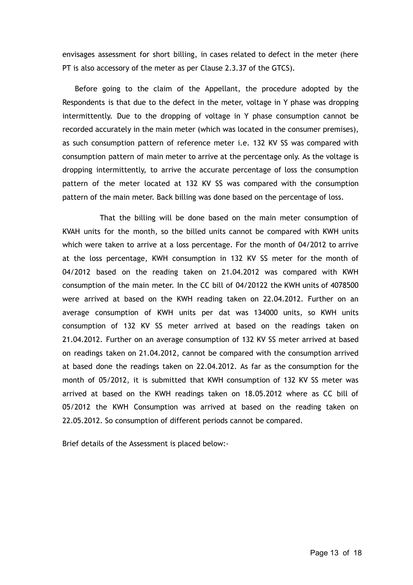envisages assessment for short billing, in cases related to defect in the meter (here PT is also accessory of the meter as per Clause 2.3.37 of the GTCS).

Before going to the claim of the Appellant, the procedure adopted by the Respondents is that due to the defect in the meter, voltage in Y phase was dropping intermittently. Due to the dropping of voltage in Y phase consumption cannot be recorded accurately in the main meter (which was located in the consumer premises), as such consumption pattern of reference meter i.e. 132 KV SS was compared with consumption pattern of main meter to arrive at the percentage only. As the voltage is dropping intermittently, to arrive the accurate percentage of loss the consumption pattern of the meter located at 132 KV SS was compared with the consumption pattern of the main meter. Back billing was done based on the percentage of loss.

That the billing will be done based on the main meter consumption of KVAH units for the month, so the billed units cannot be compared with KWH units which were taken to arrive at a loss percentage. For the month of 04/2012 to arrive at the loss percentage, KWH consumption in 132 KV SS meter for the month of 04/2012 based on the reading taken on 21.04.2012 was compared with KWH consumption of the main meter. In the CC bill of 04/20122 the KWH units of 4078500 were arrived at based on the KWH reading taken on 22.04.2012. Further on an average consumption of KWH units per dat was 134000 units, so KWH units consumption of 132 KV SS meter arrived at based on the readings taken on 21.04.2012. Further on an average consumption of 132 KV SS meter arrived at based on readings taken on 21.04.2012, cannot be compared with the consumption arrived at based done the readings taken on 22.04.2012. As far as the consumption for the month of 05/2012, it is submitted that KWH consumption of 132 KV SS meter was arrived at based on the KWH readings taken on 18.05.2012 where as CC bill of 05/2012 the KWH Consumption was arrived at based on the reading taken on 22.05.2012. So consumption of different periods cannot be compared.

Brief details of the Assessment is placed below:-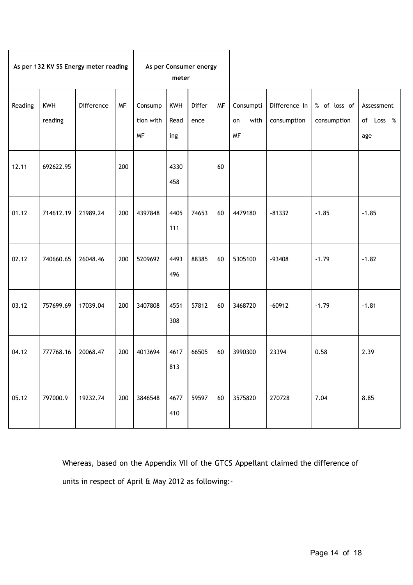|         |                       | As per 132 KV SS Energy meter reading |           | As per Consumer energy<br>meter   |                           |                |           |                                      |                              |                             |                                |
|---------|-----------------------|---------------------------------------|-----------|-----------------------------------|---------------------------|----------------|-----------|--------------------------------------|------------------------------|-----------------------------|--------------------------------|
| Reading | <b>KWH</b><br>reading | Difference                            | <b>MF</b> | Consump<br>tion with<br><b>MF</b> | <b>KWH</b><br>Read<br>ing | Differ<br>ence | <b>MF</b> | Consumpti<br>with<br>on<br><b>MF</b> | Difference In<br>consumption | % of loss of<br>consumption | Assessment<br>of Loss %<br>age |
| 12.11   | 692622.95             |                                       | 200       |                                   | 4330<br>458               |                | 60        |                                      |                              |                             |                                |
| 01.12   | 714612.19             | 21989.24                              | 200       | 4397848                           | 4405<br>111               | 74653          | 60        | 4479180                              | $-81332$                     | $-1.85$                     | $-1.85$                        |
| 02.12   | 740660.65             | 26048.46                              | 200       | 5209692                           | 4493<br>496               | 88385          | 60        | 5305100                              | $-93408$                     | $-1.79$                     | $-1.82$                        |
| 03.12   | 757699.69             | 17039.04                              | 200       | 3407808                           | 4551<br>308               | 57812          | 60        | 3468720                              | $-60912$                     | $-1.79$                     | $-1.81$                        |
| 04.12   | 777768.16             | 20068.47                              | 200       | 4013694                           | 4617<br>813               | 66505          | 60        | 3990300                              | 23394                        | 0.58                        | 2.39                           |
| 05.12   | 797000.9              | 19232.74                              | 200       | 3846548                           | 4677<br>410               | 59597          | 60        | 3575820                              | 270728                       | 7.04                        | 8.85                           |

Whereas, based on the Appendix VII of the GTCS Appellant claimed the difference of units in respect of April & May 2012 as following:-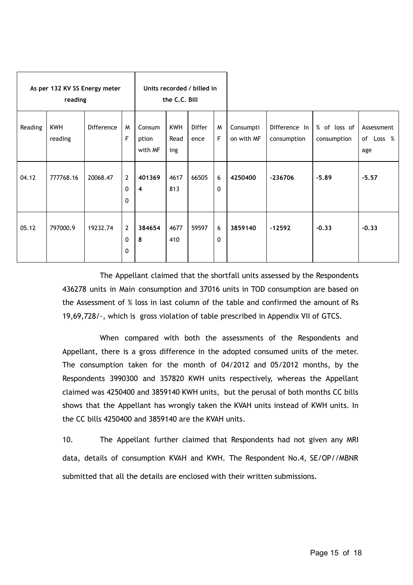|         | As per 132 KV SS Energy meter<br>reading |                   |                                     | Units recorded / billed in<br>the C.C. Bill |                           |                       |        |                         |                              |                             |                                |
|---------|------------------------------------------|-------------------|-------------------------------------|---------------------------------------------|---------------------------|-----------------------|--------|-------------------------|------------------------------|-----------------------------|--------------------------------|
| Reading | <b>KWH</b><br>reading                    | <b>Difference</b> | M<br>F                              | Consum<br>ption<br>with MF                  | <b>KWH</b><br>Read<br>ing | <b>Differ</b><br>ence | M<br>F | Consumpti<br>on with MF | Difference In<br>consumption | % of loss of<br>consumption | Assessment<br>of Loss %<br>age |
| 04.12   | 777768.16                                | 20068.47          | $\overline{2}$<br>0<br>$\mathbf{0}$ | 401369<br>$\overline{4}$                    | 4617<br>813               | 66505                 | 6<br>0 | 4250400                 | $-236706$                    | $-5.89$                     | $-5.57$                        |
| 05.12   | 797000.9                                 | 19232.74          | $\overline{2}$<br>0<br>0            | 384654<br>8                                 | 4677<br>410               | 59597                 | 6<br>0 | 3859140                 | $-12592$                     | $-0.33$                     | $-0.33$                        |

The Appellant claimed that the shortfall units assessed by the Respondents 436278 units in Main consumption and 37016 units in TOD consumption are based on the Assessment of % loss in last column of the table and confirmed the amount of Rs 19,69,728/-, which is gross violation of table prescribed in Appendix VII of GTCS.

When compared with both the assessments of the Respondents and Appellant, there is a gross difference in the adopted consumed units of the meter. The consumption taken for the month of 04/2012 and 05/2012 months, by the Respondents 3990300 and 357820 KWH units respectively, whereas the Appellant claimed was 4250400 and 3859140 KWH units, but the perusal of both months CC bills shows that the Appellant has wrongly taken the KVAH units instead of KWH units. In the CC bills 4250400 and 3859140 are the KVAH units.

10. The Appellant further claimed that Respondents had not given any MRI data, details of consumption KVAH and KWH. The Respondent No.4, SE/OP//MBNR submitted that all the details are enclosed with their written submissions.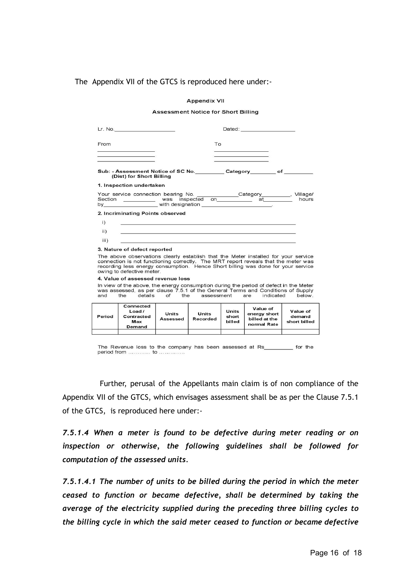The Appendix VII of the GTCS is reproduced here under:-

#### **Appendix VII**

#### **Assessment Notice for Short Billing**

| Lr. No. _______________________                                                                                                                                                                                                                                                                                           |                   |                   |                          | Dated: ________________________                          |                                    |
|---------------------------------------------------------------------------------------------------------------------------------------------------------------------------------------------------------------------------------------------------------------------------------------------------------------------------|-------------------|-------------------|--------------------------|----------------------------------------------------------|------------------------------------|
| From                                                                                                                                                                                                                                                                                                                      |                   | To                |                          |                                                          |                                    |
| Sub: - Assessment Notice of SC No. ________Category________of _______<br>(Dist) for Short Billing                                                                                                                                                                                                                         |                   |                   |                          |                                                          |                                    |
| 1. Inspection undertaken<br>Your service connection bearing No. _____________Category_________, Village/                                                                                                                                                                                                                  |                   |                   |                          |                                                          | hours                              |
| 2. Incriminating Points observed<br>$\left( i\right)$<br>$\mathbf{ii}$ )<br>iii)                                                                                                                                                                                                                                          |                   |                   |                          |                                                          |                                    |
| 3. Nature of defect reported<br>The above observations clearly establish that the Meter installed for your service<br>connection is not functioning correctly. The MRT report reveals that the meter was<br>recording less energy consumption. Hence Short billing was done for your service<br>owing to defective meter. |                   |                   |                          |                                                          |                                    |
| 4. Value of assessed revenue loss                                                                                                                                                                                                                                                                                         |                   |                   |                          |                                                          |                                    |
| In view of the above, the energy consumption during the period of defect in the Meter<br>was assessed, as per clause 7.5.1 of the General Terms and Conditions of Supply<br>and the details of the assessment are indicated below.                                                                                        |                   |                   |                          |                                                          |                                    |
| Connected<br>Load/<br>Contracted<br>Period<br>Max<br>Demand                                                                                                                                                                                                                                                               | Units<br>Assessed | Units<br>Recorded | Units<br>short<br>billed | Value of<br>energy short<br>billed at the<br>normal Rate | Value of<br>demand<br>short billed |
|                                                                                                                                                                                                                                                                                                                           |                   |                   |                          |                                                          |                                    |

The Revenue loss to the company has been assessed at Rs\_ \_\_\_\_\_\_ for the period from ............ to ..............

Further, perusal of the Appellants main claim is of non compliance of the Appendix VII of the GTCS, which envisages assessment shall be as per the Clause 7.5.1 of the GTCS, is reproduced here under:-

*7.5.1.4 When a meter is found to be defective during meter reading or on inspection or otherwise, the following guidelines shall be followed for computation of the assessed units.*

*7.5.1.4.1 The number of units to be billed during the period in which the meter ceased to function or became defective, shall be determined by taking the average of the electricity supplied during the preceding three billing cycles to the billing cycle in which the said meter ceased to function or became defective*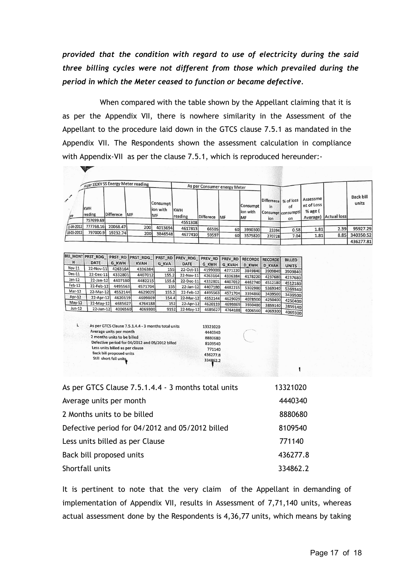*provided that the condition with regard to use of electricity during the said three billing cycles were not different from those which prevailed during the period in which the Meter ceased to function or became defective.*

When compared with the table shown by the Appellant claiming that it is as per the Appendix VII, there is nowhere similarity in the Assessment of the Appellant to the procedure laid down in the GTCS clause 7.5.1 as mandated in the Appendix VII. The Respondents shown the assessment calculation in compliance with Appendix-VII as per the clause 7.5.1, which is reproduced hereunder:-

|                                |                       |           | As per 132KV SS Energy Meter reading |                                     |                       | As per Consumer energy Meter |            |                             |                                   |                                |                                                 |                     |                           |
|--------------------------------|-----------------------|-----------|--------------------------------------|-------------------------------------|-----------------------|------------------------------|------------|-----------------------------|-----------------------------------|--------------------------------|-------------------------------------------------|---------------------|---------------------------|
| $\overline{\mathscr{S}}$<br>bæ | <b>KWH</b><br>reading | Differece | <b>IMF</b>                           | Consumpt<br>lion with<br><b>IMF</b> | <b>KWH</b><br>reading | Differece                    | <b>IMF</b> | Consumpt<br>lion with<br>MF | Differnece % of loss<br>in<br>ion | of<br>Consumpt consumpti<br>on | Assessme<br>nt of Loss<br>% age $($<br>Average) | <b>Actual lossi</b> | <b>Back bill</b><br>units |
|                                | 757699.69             |           |                                      |                                     | 4551308               |                              |            |                             |                                   |                                |                                                 |                     |                           |
| /1-04-2012                     | 777768.16             | 20068.47  | 200                                  | 4013694                             | 4617813               | 66505                        | 60         | 3990300                     | 23394                             | 0.58                           | 1.81                                            | 2.39                | 95927.29                  |
| 18-05-2012                     | 797000.9              | 19232.74  | 200                                  | 3846548                             | 4677410               | 59597                        | 60         | 3575820                     | 270728                            | 7.04                           | 1.81                                            | 8.85                | 340350.52                 |
|                                |                       |           |                                      |                                     |                       |                              |            |                             |                                   |                                |                                                 |                     | 436277.81                 |

| <b>BILL MONT!</b> | <b>PRST RDG</b> | PRST RD      | <b>PRST RDG</b> | <b>PRST RD</b> | <b>PREV RDG</b> | <b>PREV RD</b> | <b>PREV RD</b> | <b>RECORDE</b> | <b>RECORDE</b> | <b>BILLED</b> |
|-------------------|-----------------|--------------|-----------------|----------------|-----------------|----------------|----------------|----------------|----------------|---------------|
| н                 | <b>DATE</b>     | <b>G KWH</b> | <b>KVAH</b>     | <b>G KVA</b>   | <b>DATE</b>     | <b>G KWH</b>   | <b>G KVAH</b>  | <b>D KWH</b>   | <b>D KVAH</b>  | <b>UNITS</b>  |
| Nov-11            | 22-Nov-11       | 4263164      | 4336384         | 155            | 22-Oct-11       | 4199000        | 4271220        | 3849840        | 3909840        | 3909840       |
| Dec-11            | 22-Dec-11       | 4332801      | 4407012         | 155.2          | 22-Nov-11       | 4263164        | 4336384        | 4178220        | 4237680        | 4237680       |
| $Jan-12$          | $22 - Jan - 12$ | 4407180      | 4482215         | 155.6          | 22-Dec-11       | 4332801        | 4407012        | 4462740        | 4512180        | 4512180       |
| $Feb-12$          | 22-Feb-12       | 4495563      | 4571704         | 155            | 22-Jan-12       | 4407180        | 4482215        | 5302980        | 5369340        | 5369340       |
| Mar-12            | 22-Mar-12       | 4552144      | 4629029         | 155.2          | 22-Feb-12       | 4495563        | 4571704        | 3394860        | 3439500        | 3439500       |
| Apr-12            | $22$ -Apr-12    | 4620119      | 4699869         | 154.4          | 22-Mar-12       | 4552144        | 4629029        | 4078500        | 4250400        | 4250400       |
| May-12            | 22-May-12       | 4685627      | 4764188         | 152            | 22-Apr-12       | 4620119        | 4699869        | 3930480        | 3859140        | 3859140       |
| Jun-12            | 22-Jun-12       | 4006560      | 4069300         | 9152           | 22-May-12       | 4685627        | 4764188        | 4006560        | 4069300        | 4069300       |

| i. | As per GTCS Clause 7.5.1.4.4 - 3 months total units |
|----|-----------------------------------------------------|
|    | Average units per month                             |
|    | 2 months units to be billed                         |
|    | Defective period for 04/2012 and 05/2012 billed     |
|    | Less units billed as per clause                     |
|    | <b>Back bill proposed units</b>                     |
|    | Still short fall units                              |
|    |                                                     |

| As per GTCS Clause 7.5.1.4.4 - 3 months total units | 13321020 |
|-----------------------------------------------------|----------|
| Average units per month                             | 4440340  |
| 2 Months units to be billed                         | 8880680  |
| Defective period for 04/2012 and 05/2012 billed     | 8109540  |
| Less units billed as per Clause                     | 771140   |
| Back bill proposed units                            | 436277.8 |
| Shortfall units                                     | 334862.2 |

It is pertinent to note that the very claim of the Appellant in demanding of implementation of Appendix VII, results in Assessment of 7,71,140 units, whereas actual assessment done by the Respondents is 4,36,77 units, which means by taking